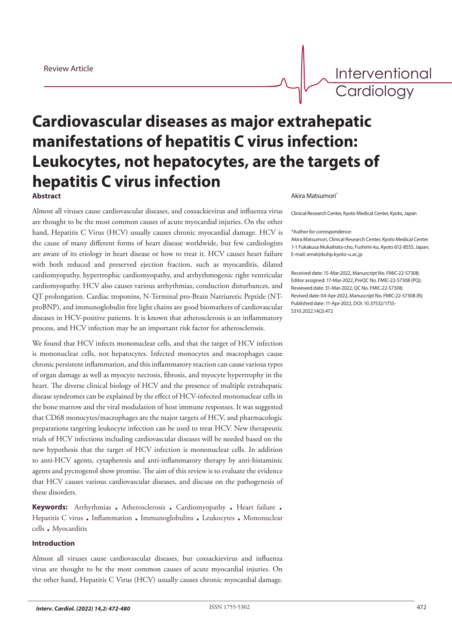Interventional **Cardiology** 

# **Cardiovascular diseases as major extrahepatic manifestations of hepatitis C virus infection: Leukocytes, not hepatocytes, are the targets of hepatitis C virus infection** Akira Matsumori\* **Abstract**

Almost all viruses cause cardiovascular diseases, and coxsackievirus and influenza virus are thought to be the most common causes of acute myocardial injuries. On the other hand, Hepatitis C Virus (HCV) usually causes chronic myocardial damage. HCV is the cause of many different forms of heart disease worldwide, but few cardiologists are aware of its etiology in heart disease or how to treat it. HCV causes heart failure with both reduced and preserved ejection fraction, such as myocarditis, dilated cardiomyopathy, hypertrophic cardiomyopathy, and arrhythmogenic right ventricular cardiomyopathy. HCV also causes various arrhythmias, conduction disturbances, and QT prolongation. Cardiac troponins, N-Terminal pro-Brain Natriuretic Peptide (NTproBNP), and immunoglobulin free light chains are good biomarkers of cardiovascular diseases in HCV-positive patients. It is known that atherosclerosis is an inflammatory process, and HCV infection may be an important risk factor for atherosclerosis.

We found that HCV infects mononuclear cells, and that the target of HCV infection is mononuclear cells, not hepatocytes. Infected monocytes and macrophages cause chronic persistent inflammation, and this inflammatory reaction can cause various types of organ damage as well as myocyte necrosis, fibrosis, and myocyte hypertrophy in the heart. The diverse clinical biology of HCV and the presence of multiple extrahepatic disease syndromes can be explained by the effect of HCV-infected mononuclear cells in the bone marrow and the viral modulation of host immune responses. It was suggested that CD68 monocytes/macrophages are the major targets of HCV, and pharmacologic preparations targeting leukocyte infection can be used to treat HCV. New therapeutic trials of HCV infections including cardiovascular diseases will be needed based on the new hypothesis that the target of HCV infection is mononuclear cells. In addition to anti-HCV agents, cytapheresis and anti-inflammatory therapy by anti-histaminic agents and pycnogenol show promise. The aim of this review is to evaluate the evidence that HCV causes various cardiovascular diseases, and discuss on the pathogenesis of these disorders.

**Keywords:** Arrhythmias . Atherosclerosis . Cardiomyopathy . Heart failure . Hepatitis C virus . Inflammation . Immunoglobulins . Leukocytes . Mononuclear cells . Myocarditis

## **Introduction**

Almost all viruses cause cardiovascular diseases, but coxsackievirus and influenza virus are thought to be the most common causes of acute myocardial injuries. On the other hand, Hepatitis C Virus (HCV) usually causes chronic myocardial damage.

Clinical Research Center, Kyoto Medical Center, Kyoto, Japan

#### \*Author for correspondence:

Akira Matsumori, Clinical Research Center, Kyoto Medical Center 1-1 Fukakusa Mukaihata-cho, Fushimi-ku, Kyoto 612-8555, Japan, E-mail: amat@kuhp.kyoto-u.ac.jp

Received date: 15-Mar-2022, Manuscript No. FMIC-22-57308; Editor assigned: 17-Mar-2022, PreQC No. FMIC-22-57308 (PQ); Reviewed date: 31-Mar-2022, QC No. FMIC-22-57308; Revised date: 04-Apr-2022, Manuscript No. FMIC-22-57308 (R); Published date: 11-Apr-2022, DOI: 10.37532/1755- 5310.2022.14(2).472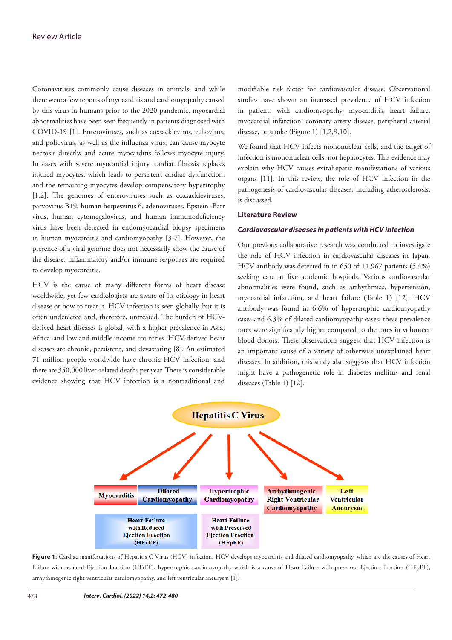Coronaviruses commonly cause diseases in animals, and while there were a few reports of myocarditis and cardiomyopathy caused by this virus in humans prior to the 2020 pandemic, myocardial abnormalities have been seen frequently in patients diagnosed with COVID-19 [1]. Enteroviruses, such as coxsackievirus, echovirus, and poliovirus, as well as the influenza virus, can cause myocyte necrosis directly, and acute myocarditis follows myocyte injury. In cases with severe myocardial injury, cardiac fibrosis replaces injured myocytes, which leads to persistent cardiac dysfunction, and the remaining myocytes develop compensatory hypertrophy [1,2]. The genomes of enteroviruses such as coxsackieviruses, parvovirus B19, human herpesvirus 6, adenoviruses, Epstein–Barr virus, human cytomegalovirus, and human immunodeficiency virus have been detected in endomyocardial biopsy specimens in human myocarditis and cardiomyopathy [3-7]. However, the presence of a viral genome does not necessarily show the cause of the disease; inflammatory and/or immune responses are required to develop myocarditis.

HCV is the cause of many different forms of heart disease worldwide, yet few cardiologists are aware of its etiology in heart disease or how to treat it. HCV infection is seen globally, but it is often undetected and, therefore, untreated. The burden of HCVderived heart diseases is global, with a higher prevalence in Asia, Africa, and low and middle income countries. HCV-derived heart diseases are chronic, persistent, and devastating [8]. An estimated 71 million people worldwide have chronic HCV infection, and there are 350,000 liver-related deaths per year. There is considerable evidence showing that HCV infection is a nontraditional and modifiable risk factor for cardiovascular disease. Observational studies have shown an increased prevalence of HCV infection in patients with cardiomyopathy, myocarditis, heart failure, myocardial infarction, coronary artery disease, peripheral arterial disease, or stroke (Figure 1) [1,2,9,10].

We found that HCV infects mononuclear cells, and the target of infection is mononuclear cells, not hepatocytes. This evidence may explain why HCV causes extrahepatic manifestations of various organs [11]. In this review, the role of HCV infection in the pathogenesis of cardiovascular diseases, including atherosclerosis, is discussed.

## **Literature Review**

#### *Cardiovascular diseases in patients with HCV infection*

Our previous collaborative research was conducted to investigate the role of HCV infection in cardiovascular diseases in Japan. HCV antibody was detected in in 650 of 11,967 patients (5.4%) seeking care at five academic hospitals. Various cardiovascular abnormalities were found, such as arrhythmias, hypertension, myocardial infarction, and heart failure (Table 1) [12]. HCV antibody was found in 6.6% of hypertrophic cardiomyopathy cases and 6.3% of dilated cardiomyopathy cases; these prevalence rates were significantly higher compared to the rates in volunteer blood donors. These observations suggest that HCV infection is an important cause of a variety of otherwise unexplained heart diseases. In addition, this study also suggests that HCV infection might have a pathogenetic role in diabetes mellitus and renal diseases (Table 1) [12].



Figure 1: Cardiac manifestations of Hepatitis C Virus (HCV) infection. HCV develops myocarditis and dilated cardiomyopathy, which are the causes of Heart Failure with reduced Ejection Fraction (HFrEF), hypertrophic cardiomyopathy which is a cause of Heart Failure with preserved Ejection Fraction (HFpEF), arrhythmogenic right ventricular cardiomyopathy, and left ventricular aneurysm [1].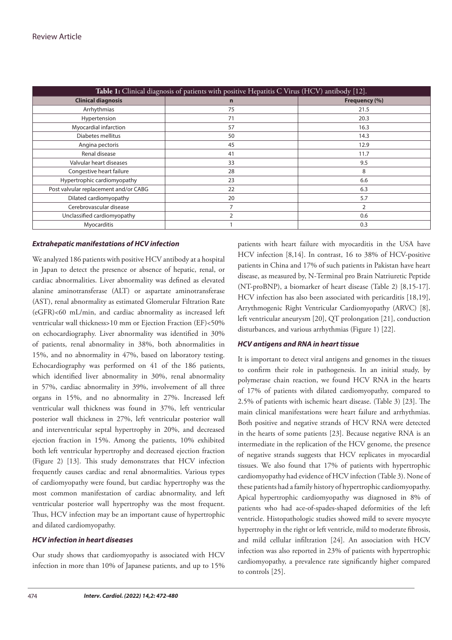| Table 1: Clinical diagnosis of patients with positive Hepatitis C Virus (HCV) antibody [12]. |               |               |  |  |  |  |
|----------------------------------------------------------------------------------------------|---------------|---------------|--|--|--|--|
| <b>Clinical diagnosis</b>                                                                    | $\mathbf n$   | Frequency (%) |  |  |  |  |
| Arrhythmias                                                                                  | 75            | 21.5          |  |  |  |  |
| Hypertension                                                                                 | 71            | 20.3          |  |  |  |  |
| Myocardial infarction                                                                        | 57            | 16.3          |  |  |  |  |
| Diabetes mellitus                                                                            | 50            | 14.3          |  |  |  |  |
| Angina pectoris                                                                              | 45            | 12.9          |  |  |  |  |
| Renal disease                                                                                | 41            | 11.7          |  |  |  |  |
| Valvular heart diseases                                                                      | 33            | 9.5           |  |  |  |  |
| Congestive heart failure                                                                     | 28            | 8             |  |  |  |  |
| Hypertrophic cardiomyopathy                                                                  | 23            | 6.6           |  |  |  |  |
| Post valvular replacement and/or CABG                                                        | 22            | 6.3           |  |  |  |  |
| Dilated cardiomyopathy                                                                       | 20            | 5.7           |  |  |  |  |
| Cerebrovascular disease                                                                      |               | 2             |  |  |  |  |
| Unclassified cardiomyopathy                                                                  | $\mathcal{P}$ | 0.6           |  |  |  |  |
| Myocarditis                                                                                  |               | 0.3           |  |  |  |  |

## *Extrahepatic manifestations of HCV infection*

We analyzed 186 patients with positive HCV antibody at a hospital in Japan to detect the presence or absence of hepatic, renal, or cardiac abnormalities. Liver abnormality was defined as elevated alanine aminotransferase (ALT) or aspartate aminotransferase (AST), renal abnormality as estimated Glomerular Filtration Rate (eGFR)<60 mL/min, and cardiac abnormality as increased left ventricular wall thickness>10 mm or Ejection Fraction (EF)<50% on echocardiography. Liver abnormality was identified in 30% of patients, renal abnormality in 38%, both abnormalities in 15%, and no abnormality in 47%, based on laboratory testing. Echocardiography was performed on 41 of the 186 patients, which identified liver abnormality in 30%, renal abnormality in 57%, cardiac abnormality in 39%, involvement of all three organs in 15%, and no abnormality in 27%. Increased left ventricular wall thickness was found in 37%, left ventricular posterior wall thickness in 27%, left ventricular posterior wall and interventricular septal hypertrophy in 20%, and decreased ejection fraction in 15%. Among the patients, 10% exhibited both left ventricular hypertrophy and decreased ejection fraction (Figure 2) [13]. This study demonstrates that HCV infection frequently causes cardiac and renal abnormalities. Various types of cardiomyopathy were found, but cardiac hypertrophy was the most common manifestation of cardiac abnormality, and left ventricular posterior wall hypertrophy was the most frequent. Thus, HCV infection may be an important cause of hypertrophic and dilated cardiomyopathy.

#### *HCV infection in heart diseases*

Our study shows that cardiomyopathy is associated with HCV infection in more than 10% of Japanese patients, and up to 15% patients with heart failure with myocarditis in the USA have HCV infection [8,14]. In contrast, 16 to 38% of HCV-positive patients in China and 17% of such patients in Pakistan have heart disease, as measured by, N-Terminal pro Brain Natriuretic Peptide (NT-proBNP), a biomarker of heart disease (Table 2) [8,15-17]. HCV infection has also been associated with pericarditis [18,19], Arrythmogenic Right Ventricular Cardiomyopathy (ARVC) [8], left ventricular aneurysm [20], QT prolongation [21], conduction disturbances, and various arrhythmias (Figure 1) [22].

## *HCV antigens and RNA in heart tissue*

It is important to detect viral antigens and genomes in the tissues to confirm their role in pathogenesis. In an initial study, by polymerase chain reaction, we found HCV RNA in the hearts of 17% of patients with dilated cardiomyopathy, compared to 2.5% of patients with ischemic heart disease. (Table 3) [23]. The main clinical manifestations were heart failure and arrhythmias. Both positive and negative strands of HCV RNA were detected in the hearts of some patients [23]. Because negative RNA is an intermediate in the replication of the HCV genome, the presence of negative strands suggests that HCV replicates in myocardial tissues. We also found that 17% of patients with hypertrophic cardiomyopathy had evidence of HCV infection (Table 3). None of these patients had a family history of hypertrophic cardiomyopathy. Apical hypertrophic cardiomyopathy was diagnosed in 8% of patients who had ace-of-spades-shaped deformities of the left ventricle. Histopathologic studies showed mild to severe myocyte hypertrophy in the right or left ventricle, mild to moderate fibrosis, and mild cellular infiltration [24]. An association with HCV infection was also reported in 23% of patients with hypertrophic cardiomyopathy, a prevalence rate significantly higher compared to controls [25].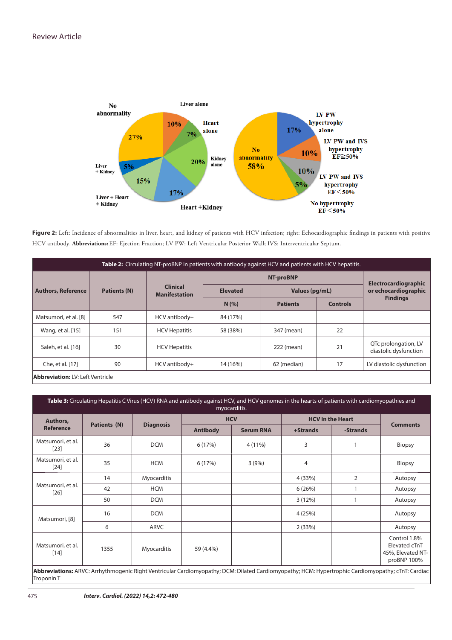

Figure 2: Left: Incidence of abnormalities in liver, heart, and kidney of patients with HCV infection; right: Echocardiographic findings in patients with positive HCV antibody. **Abbreviations:** EF: Ejection Fraction; LV PW: Left Ventricular Posterior Wall; IVS: Interventricular Septum.

| Table 2: Circulating NT-proBNP in patients with antibody against HCV and patients with HCV hepatitis. |                     |                                         |                                   |                 |                 |                                                     |  |
|-------------------------------------------------------------------------------------------------------|---------------------|-----------------------------------------|-----------------------------------|-----------------|-----------------|-----------------------------------------------------|--|
| <b>Authors, Reference</b>                                                                             | <b>Patients (N)</b> | <b>Clinical</b><br><b>Manifestation</b> | <b>NT-proBNP</b>                  |                 |                 | <b>Electrocardiographic</b><br>or echocardiographic |  |
|                                                                                                       |                     |                                         | <b>Elevated</b><br>Values (pg/mL) |                 |                 |                                                     |  |
|                                                                                                       |                     |                                         | N(% )                             | <b>Patients</b> | <b>Controls</b> | <b>Findings</b>                                     |  |
| Matsumori, et al. [8]                                                                                 | 547                 | HCV antibody+                           | 84 (17%)                          |                 |                 |                                                     |  |
| Wang, et al. [15]                                                                                     | 151                 | <b>HCV Hepatitis</b>                    | 58 (38%)                          | 347 (mean)      | 22              |                                                     |  |
| Saleh, et al. [16]                                                                                    | 30                  | <b>HCV Hepatitis</b>                    |                                   | 222 (mean)      | 21              | QTc prolongation, LV<br>diastolic dysfunction       |  |
| Che, et al. [17]                                                                                      | 90                  | HCV antibody+                           | 14 (16%)                          | 62 (median)     | 17              | LV diastolic dysfunction                            |  |
| <b>Abbreviation: LV: Left Ventricle</b>                                                               |                     |                                         |                                   |                 |                 |                                                     |  |

**Table 3:** Circulating Hepatitis C Virus (HCV) RNA and antibody against HCV, and HCV genomes in the hearts of patients with cardiomyopathies and myocarditis. **Authors, Reference Patients (N) Diagnosis HCV HCV in the Heart Comments** Antibody Serum RNA +Strands -Strands Matsumori, et al. (1011, et al. | 36 | DCM | 6 (17%) | 4 (11%) | 3 | 1 | Biopsy Matsumori, et al. 1.011, Ceta. 35 | HCM | 6 (17%) | 3 (9%) | 4 | Biopsy Matsumori, et al. [26] 14 Myocarditis 4 (33%) 2 Autopsy 42 HCM 6 (26%) 1 Autopsy 50 DCM 3 (12%) 1 Autopsy Matsumori, [8] 16 DCM 4 (25%) Autopsy 6 ARVC 2 (33%) Autopsy Matsumori, et al.<br>[14] 1355 Myocarditis 59 (4.4%) Control 1.8% Elevated cTnT 45%, Elevated NTproBNP 100%

**Abbreviations:** ARVC: Arrhythmogenic Right Ventricular Cardiomyopathy; DCM: Dilated Cardiomyopathy; HCM: Hypertrophic Cardiomyopathy; cTnT: Cardiac Troponin T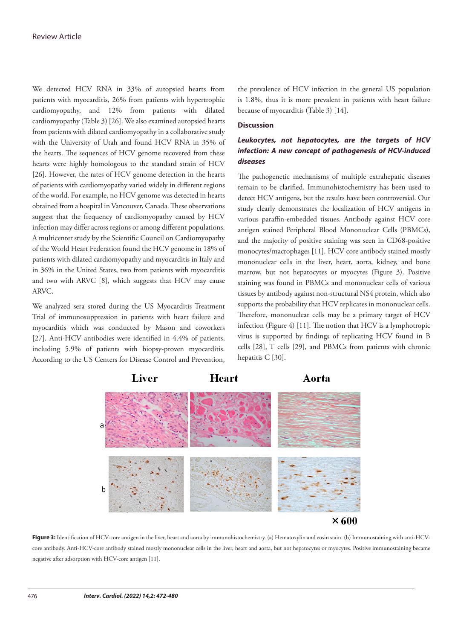We detected HCV RNA in 33% of autopsied hearts from patients with myocarditis, 26% from patients with hypertrophic cardiomyopathy, and 12% from patients with dilated cardiomyopathy (Table 3) [26]. We also examined autopsied hearts from patients with dilated cardiomyopathy in a collaborative study with the University of Utah and found HCV RNA in 35% of the hearts. The sequences of HCV genome recovered from these hearts were highly homologous to the standard strain of HCV [26]. However, the rates of HCV genome detection in the hearts of patients with cardiomyopathy varied widely in different regions of the world. For example, no HCV genome was detected in hearts obtained from a hospital in Vancouver, Canada. These observations suggest that the frequency of cardiomyopathy caused by HCV infection may differ across regions or among different populations. A multicenter study by the Scientific Council on Cardiomyopathy of the World Heart Federation found the HCV genome in 18% of patients with dilated cardiomyopathy and myocarditis in Italy and in 36% in the United States, two from patients with myocarditis and two with ARVC [8], which suggests that HCV may cause ARVC.

We analyzed sera stored during the US Myocarditis Treatment Trial of immunosuppression in patients with heart failure and myocarditis which was conducted by Mason and coworkers [27]. Anti-HCV antibodies were identified in 4.4% of patients, including 5.9% of patients with biopsy-proven myocarditis. According to the US Centers for Disease Control and Prevention, the prevalence of HCV infection in the general US population is 1.8%, thus it is more prevalent in patients with heart failure because of myocarditis (Table 3) [14].

#### **Discussion**

## *Leukocytes, not hepatocytes, are the targets of HCV infection: A new concept of pathogenesis of HCV-induced diseases*

The pathogenetic mechanisms of multiple extrahepatic diseases remain to be clarified. Immunohistochemistry has been used to detect HCV antigens, but the results have been controversial. Our study clearly demonstrates the localization of HCV antigens in various paraffin-embedded tissues. Antibody against HCV core antigen stained Peripheral Blood Mononuclear Cells (PBMCs), and the majority of positive staining was seen in CD68-positive monocytes/macrophages [11]. HCV core antibody stained mostly mononuclear cells in the liver, heart, aorta, kidney, and bone marrow, but not hepatocytes or myocytes (Figure 3). Positive staining was found in PBMCs and mononuclear cells of various tissues by antibody against non-structural NS4 protein, which also supports the probability that HCV replicates in mononuclear cells. Therefore, mononuclear cells may be a primary target of HCV infection (Figure 4) [11]. The notion that HCV is a lymphotropic virus is supported by findings of replicating HCV found in B cells [28], T cells [29], and PBMCs from patients with chronic hepatitis C [30].



**Figure 3:** Identification of HCV-core antigen in the liver, heart and aorta by immunohistochemistry. (a) Hematoxylin and eosin stain. (b) Immunostaining with anti-HCVcore antibody. Anti-HCV-core antibody stained mostly mononuclear cells in the liver, heart and aorta, but not hepatocytes or myocytes. Positive immunostaining became negative after adsorption with HCV-core antigen [11].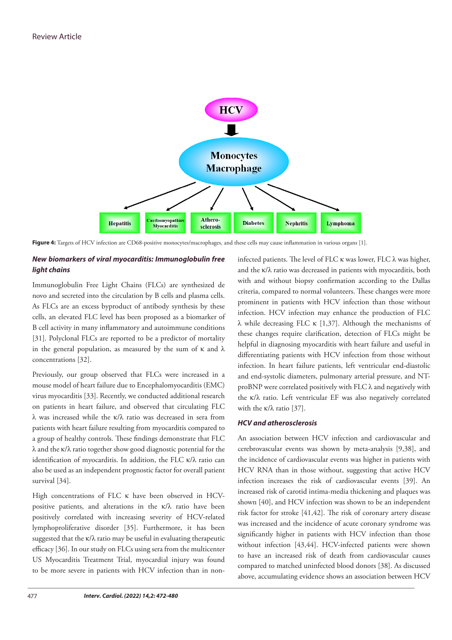

**Figure 4:** Targets of HCV infection are CD68-positive monocytes/macrophages, and these cells may cause inflammation in various organs [1].

## *New biomarkers of viral myocarditis: Immunoglobulin free light chains*

Immunoglobulin Free Light Chains (FLCs) are synthesized de novo and secreted into the circulation by B cells and plasma cells. As FLCs are an excess byproduct of antibody synthesis by these cells, an elevated FLC level has been proposed as a biomarker of B cell activity in many inflammatory and autoimmune conditions [31]. Polyclonal FLCs are reported to be a predictor of mortality in the general population, as measured by the sum of  $\kappa$  and  $\lambda$ concentrations [32].

Previously, our group observed that FLCs were increased in a mouse model of heart failure due to Encephalomyocarditis (EMC) virus myocarditis [33]. Recently, we conducted additional research on patients in heart failure, and observed that circulating FLC λ was increased while the κ/λ ratio was decreased in sera from patients with heart failure resulting from myocarditis compared to a group of healthy controls. These findings demonstrate that FLC λ and the κ/λ ratio together show good diagnostic potential for the identification of myocarditis. In addition, the FLC  $\kappa/\lambda$  ratio can also be used as an independent prognostic factor for overall patient survival [34].

High concentrations of FLC κ have been observed in HCVpositive patients, and alterations in the  $\kappa/\lambda$  ratio have been positively correlated with increasing severity of HCV-related lymphoproliferative disorder [35]. Furthermore, it has been suggested that the  $\kappa/\lambda$  ratio may be useful in evaluating therapeutic efficacy [36]. In our study on FLCs using sera from the multicenter US Myocarditis Treatment Trial, myocardial injury was found to be more severe in patients with HCV infection than in noninfected patients. The level of FLC  $\kappa$  was lower, FLC  $\lambda$  was higher, and the κ/λ ratio was decreased in patients with myocarditis, both with and without biopsy confirmation according to the Dallas criteria, compared to normal volunteers. These changes were more prominent in patients with HCV infection than those without infection. HCV infection may enhance the production of FLC λ while decreasing FLC κ [1,37]. Although the mechanisms of these changes require clarification, detection of FLCs might be helpful in diagnosing myocarditis with heart failure and useful in differentiating patients with HCV infection from those without infection. In heart failure patients, left ventricular end-diastolic and end-systolic diameters, pulmonary arterial pressure, and NTproBNP were correlated positively with FLC λ and negatively with the κ/λ ratio. Left ventricular EF was also negatively correlated with the κ/λ ratio [37].

## *HCV and atherosclerosis*

An association between HCV infection and cardiovascular and cerebrovascular events was shown by meta-analysis [9,38], and the incidence of cardiovascular events was higher in patients with HCV RNA than in those without, suggesting that active HCV infection increases the risk of cardiovascular events [39]. An increased risk of carotid intima-media thickening and plaques was shown [40], and HCV infection was shown to be an independent risk factor for stroke [41,42]. The risk of coronary artery disease was increased and the incidence of acute coronary syndrome was significantly higher in patients with HCV infection than those without infection [43,44]. HCV-infected patients were shown to have an increased risk of death from cardiovascular causes compared to matched uninfected blood donors [38]. As discussed above, accumulating evidence shows an association between HCV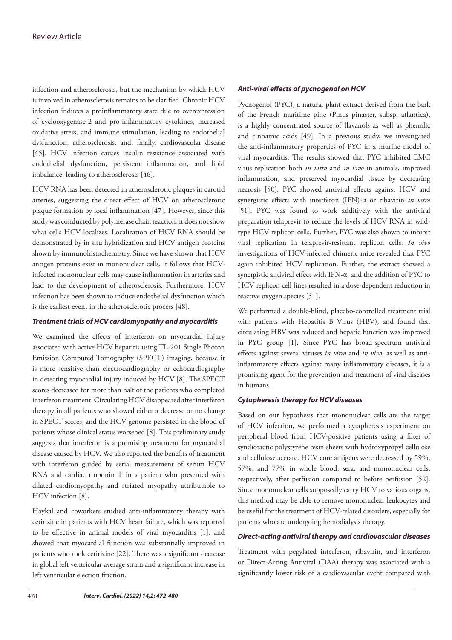infection and atherosclerosis, but the mechanism by which HCV is involved in atherosclerosis remains to be clarified. Chronic HCV infection induces a proinflammatory state due to overexpression of cyclooxygenase-2 and pro-inflammatory cytokines, increased oxidative stress, and immune stimulation, leading to endothelial dysfunction, atherosclerosis, and, finally, cardiovascular disease [45]. HCV infection causes insulin resistance associated with endothelial dysfunction, persistent inflammation, and lipid imbalance, leading to atherosclerosis [46].

HCV RNA has been detected in atherosclerotic plaques in carotid arteries, suggesting the direct effect of HCV on atherosclerotic plaque formation by local inflammation [47]. However, since this study was conducted by polymerase chain reaction, it does not show what cells HCV localizes. Localization of HCV RNA should be demonstrated by in situ hybridization and HCV antigen proteins shown by immunohistochemistry. Since we have shown that HCV antigen proteins exist in mononuclear cells, it follows that HCVinfected mononuclear cells may cause inflammation in arteries and lead to the development of atherosclerosis. Furthermore, HCV infection has been shown to induce endothelial dysfunction which is the earliest event in the atherosclerotic process [48].

## *Treatment trials of HCV cardiomyopathy and myocarditis*

We examined the effects of interferon on myocardial injury associated with active HCV hepatitis using TL-201 Single Photon Emission Computed Tomography (SPECT) imaging, because it is more sensitive than electrocardiography or echocardiography in detecting myocardial injury induced by HCV [8]. The SPECT scores decreased for more than half of the patients who completed interferon treatment. Circulating HCV disappeared after interferon therapy in all patients who showed either a decrease or no change in SPECT scores, and the HCV genome persisted in the blood of patients whose clinical status worsened [8]. This preliminary study suggests that interferon is a promising treatment for myocardial disease caused by HCV. We also reported the benefits of treatment with interferon guided by serial measurement of serum HCV RNA and cardiac troponin T in a patient who presented with dilated cardiomyopathy and striated myopathy attributable to HCV infection [8].

Haykal and coworkers studied anti-inflammatory therapy with cetirizine in patients with HCV heart failure, which was reported to be effective in animal models of viral myocarditis [1], and showed that myocardial function was substantially improved in patients who took cetirizine [22]. There was a significant decrease in global left ventricular average strain and a significant increase in left ventricular ejection fraction.

## *Anti-viral effects of pycnogenol on HCV*

Pycnogenol (PYC), a natural plant extract derived from the bark of the French maritime pine (Pinus pinaster, subsp. atlantica), is a highly concentrated source of flavanols as well as phenolic and cinnamic acids [49]. In a previous study, we investigated the anti-inflammatory properties of PYC in a murine model of viral myocarditis. The results showed that PYC inhibited EMC virus replication both *in vitro* and *in vivo* in animals, improved inflammation, and preserved myocardial tissue by decreasing necrosis [50]. PYC showed antiviral effects against HCV and synergistic effects with interferon (IFN)-α or ribavirin *in vitro* [51]. PYC was found to work additively with the antiviral preparation telaprevir to reduce the levels of HCV RNA in wildtype HCV replicon cells. Further, PYC was also shown to inhibit viral replication in telaprevir-resistant replicon cells. *In vivo* investigations of HCV-infected chimeric mice revealed that PYC again inhibited HCV replication. Further, the extract showed a synergistic antiviral effect with IFN-α, and the addition of PYC to HCV replicon cell lines resulted in a dose-dependent reduction in reactive oxygen species [51].

We performed a double-blind, placebo-controlled treatment trial with patients with Hepatitis B Virus (HBV), and found that circulating HBV was reduced and hepatic function was improved in PYC group [1]. Since PYC has broad-spectrum antiviral effects against several viruses *in vitro* and *in vivo*, as well as antiinflammatory effects against many inflammatory diseases, it is a promising agent for the prevention and treatment of viral diseases in humans.

## *Cytapheresis therapy for HCV diseases*

Based on our hypothesis that mononuclear cells are the target of HCV infection, we performed a cytapheresis experiment on peripheral blood from HCV-positive patients using a filter of syndiotactic polystyrene resin sheets with hydroxypropyl cellulose and cellulose acetate. HCV core antigens were decreased by 59%, 57%, and 77% in whole blood, sera, and mononuclear cells, respectively, after perfusion compared to before perfusion [52]. Since mononuclear cells supposedly carry HCV to various organs, this method may be able to remove mononuclear leukocytes and be useful for the treatment of HCV-related disorders, especially for patients who are undergoing hemodialysis therapy.

## *Direct-acting antiviral therapy and cardiovascular diseases*

Treatment with pegylated interferon, ribavirin, and interferon or Direct-Acting Antiviral (DAA) therapy was associated with a significantly lower risk of a cardiovascular event compared with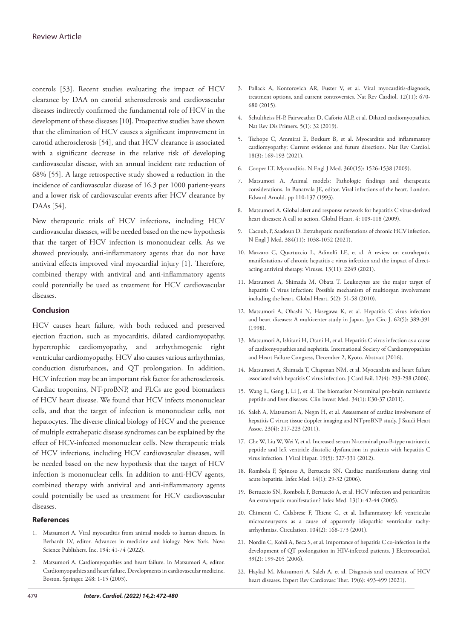controls [53]. Recent studies evaluating the impact of HCV clearance by DAA on carotid atherosclerosis and cardiovascular diseases indirectly confirmed the fundamental role of HCV in the development of these diseases [10]. Prospective studies have shown that the elimination of HCV causes a significant improvement in carotid atherosclerosis [54], and that HCV clearance is associated with a significant decrease in the relative risk of developing cardiovascular disease, with an annual incident rate reduction of 68% [55]. A large retrospective study showed a reduction in the incidence of cardiovascular disease of 16.3 per 1000 patient-years and a lower risk of cardiovascular events after HCV clearance by DAAs [54].

New therapeutic trials of HCV infections, including HCV cardiovascular diseases, will be needed based on the new hypothesis that the target of HCV infection is mononuclear cells. As we showed previously, anti-inflammatory agents that do not have antiviral effects improved viral myocardial injury [1]. Therefore, combined therapy with antiviral and anti-inflammatory agents could potentially be used as treatment for HCV cardiovascular diseases.

## **Conclusion**

HCV causes heart failure, with both reduced and preserved ejection fraction, such as myocarditis, dilated cardiomyopathy, hypertrophic cardiomyopathy, and arrhythmogenic right ventricular cardiomyopathy. HCV also causes various arrhythmias, conduction disturbances, and QT prolongation. In addition, HCV infection may be an important risk factor for atherosclerosis. Cardiac troponins, NT-proBNP, and FLCs are good biomarkers of HCV heart disease. We found that HCV infects mononuclear cells, and that the target of infection is mononuclear cells, not hepatocytes. The diverse clinical biology of HCV and the presence of multiple extrahepatic disease syndromes can be explained by the effect of HCV-infected mononuclear cells. New therapeutic trials of HCV infections, including HCV cardiovascular diseases, will be needed based on the new hypothesis that the target of HCV infection is mononuclear cells. In addition to anti-HCV agents, combined therapy with antiviral and anti-inflammatory agents could potentially be used as treatment for HCV cardiovascular diseases.

#### **References**

- 1. Matsumori A. Viral myocarditis from animal models to human diseases. In Berhardt LV, editor. Advances in medicine and biology. New York. Nova Science Publishers. Inc. 194: 41-74 (2022).
- 2. Matsumori A. Cardiomyopathies and heart failure. In Matsumori A, editor. Cardiomyopathies and heart failure. Developments in cardiovascular medicine. Boston. Springer. 248: 1-15 (2003).
- 3. Pollack A, Kontorovich AR, Fuster V, et al. [Viral myocarditis-diagnosis,](https://www.nature.com/articles/nrcardio.2015.108) [treatment options, and current controversies.](https://www.nature.com/articles/nrcardio.2015.108) Nat Rev Cardiol. 12(11): 670- 680 (2015).
- 4. Schultheiss H-P, Fairweather D, Caforio ALP, et al. [Dilated cardiomyopathies.](https://www.nature.com/articles/s41572-019-0084-1)  Nat Rev Dis Primers. 5(1): 32 (2019).
- 5. Tschope C, Ammirai E, Bozkurt B, et al. [Myocarditis and inflammatory](https://www.nature.com/articles/s41569-020-00435-x) [cardiomyopathy: Current evidence and future directions.](https://www.nature.com/articles/s41569-020-00435-x) Nat Rev Cardiol. 18(3): 169-193 (2021).
- 6. Cooper LT. [Myocarditis](https://doi.org/10.1056/nejmra0800028). N Engl J Med. 360(15): 1526-1538 (2009).
- 7. Matsumori A. Animal models: Pathologic findings and therapeutic considerations. In Banatvala JE, editor. Viral infections of the heart. London. Edward Arnold. pp 110-137 (1993).
- 8. Matsumori A. [Global alert and response network for hepatitis C virus-derived](https://www.sciencedirect.com/science/article/abs/pii/S1875457009000229)  [heart diseases: A call to action.](https://www.sciencedirect.com/science/article/abs/pii/S1875457009000229) Global Heart. 4: 109-118 (2009).
- 9. Cacoub, P, Saadoun D. [Extrahepatic manifestations of chronic HCV infection.](https://www.nejm.org/doi/10.1056/NEJMra2033539)  N Engl J Med. 384(11): 1038-1052 (2021).
- 10. Mazzaro C, Quartuccio L, Adinolfi LE, et al. [A review on extrahepatic](https://www.mdpi.com/1999-4915/13/11/2249) [manifestations of chronic hepatitis c virus infection and the impact of direct](https://www.mdpi.com/1999-4915/13/11/2249)[acting antiviral therapy.](https://www.mdpi.com/1999-4915/13/11/2249) Viruses. 13(11): 2249 (2021).
- 11. Matsumori A, Shimada M, Obata T. [Leukocytes are the major target of](https://globalheartjournal.com/articles/abstract/10.1016/j.cvdpc.2010.04.005/) [hepatitis C virus infection: Possible mechanism of multiorgan involvement](https://globalheartjournal.com/articles/abstract/10.1016/j.cvdpc.2010.04.005/) [including the heart.](https://globalheartjournal.com/articles/abstract/10.1016/j.cvdpc.2010.04.005/) Global Heart. 5(2): 51-58 (2010).
- 12. Matsumori A, Ohashi N, Hasegawa K, et al. [Hepatitis C virus infection](https://www.jstage.jst.go.jp/article/jcj/62/5/62_5_389/_article) [and heart diseases: A multicenter study in Japan.](https://www.jstage.jst.go.jp/article/jcj/62/5/62_5_389/_article) Jpn Circ J. 62(5): 389-391 (1998).
- 13. Matsumori A, Ishitani H, Otani H, et al. Hepatitis C virus infection as a cause of cardiomyopathies and nephritis. International Society of Cardiomyopathies and Heart Failure Congress, December 2, Kyoto. Abstract (2016).
- 14. Matsumori A, Shimada T, Chapman NM, et al. [Myocarditis and heart failure](https://www.onlinejcf.com/article/S1071-9164(05)01339-4/fulltext) [associated with hepatitis C virus infection.](https://www.onlinejcf.com/article/S1071-9164(05)01339-4/fulltext) J Card Fail. 12(4): 293-298 (2006).
- 15. Wang L, Geng J, Li J, et al. [The biomarker N-terminal pro-brain natriuretic](https://cimonline.ca/index.php/cim/article/view/14910) [peptide and liver diseases.](https://cimonline.ca/index.php/cim/article/view/14910) Clin Invest Med. 34(1): E30-37 (2011).
- 16. Saleh A, Matsumori A, Negm H, et al. [Assessment of cardiac involvement of](https://www.sciencedirect.com/science/article/pii/S101673151100159X?via%3Dihub) [hepatitis C virus; tissue doppler imaging and NTproBNP study.](https://www.sciencedirect.com/science/article/pii/S101673151100159X?via%3Dihub) J Saudi Heart Assoc. 23(4): 217-223 (2011).
- 17. Che W, Liu W, Wei Y, et al. [Increased serum N-terminal pro-B-type natriuretic](https://onlinelibrary.wiley.com/doi/10.1111/j.1365-2893.2011.01551.x)  [peptide and left ventricle diastolic dysfunction in patients with hepatitis C](https://onlinelibrary.wiley.com/doi/10.1111/j.1365-2893.2011.01551.x) [virus infection.](https://onlinelibrary.wiley.com/doi/10.1111/j.1365-2893.2011.01551.x) J Viral Hepat. 19(5): 327-331 (2012).
- 18. Rombola F, Spinoso A, Bertuccio SN. Cardiac manifestations during viral acute hepatitis. Infez Med. 14(1): 29-32 (2006).
- 19. Bertuccio SN, Rombola F, Bertuccio A, et al. HCV infection and pericarditis: An extrahepatic manifestation? Infez Med. 13(1): 42-44 (2005).
- 20. Chimenti C, Calabrese F, Thiene G, et al[. Inflammatory left ventricular](https://www.ahajournals.org/doi/10.1161/01.CIR.104.2.168) [microaneurysms as a cause of apparently idiopathic ventricular tachy](https://www.ahajournals.org/doi/10.1161/01.CIR.104.2.168)[arrhythmias.](https://www.ahajournals.org/doi/10.1161/01.CIR.104.2.168) Circulation. 104(2): 168-173 (2001).
- 21. Nordin C, Kohli A, Beca S, et al. [Importance of hepatitis C co-infection in the](https://www.sciencedirect.com/science/article/abs/pii/S0022073605002943?via%3Dihub)  [development of QT prolongation in HIV-infected patients.](https://www.sciencedirect.com/science/article/abs/pii/S0022073605002943?via%3Dihub) J Electrocardiol. 39(2): 199-205 (2006).
- 22. Haykal M, Matsumori A, Saleh A, et al. [Diagnosis and treatment of HCV](https://www.tandfonline.com/doi/abs/10.1080/14779072.2021.1917383?journalCode=ierk20) [heart diseases.](https://www.tandfonline.com/doi/abs/10.1080/14779072.2021.1917383?journalCode=ierk20) Expert Rev Cardiovasc Ther. 19(6): 493-499 (2021).